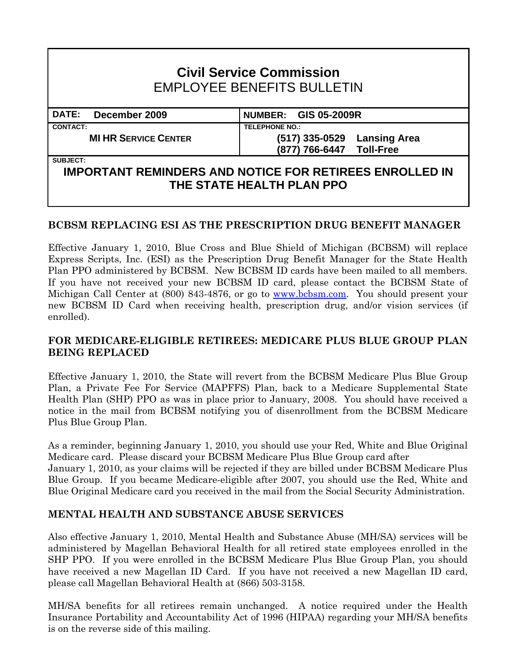# **Civil Service Commission**  EMPLOYEE BENEFITS BULLETIN

**DATE: December 2009 NUMBER: GIS 05-2009R CONTACT: TELEPHONE NO.:**

**MI HR SERVICE CENTER (517) 335-0529 Lansing Area (877) 766-6447 Toll-Free** 

#### **SUBJECT:**

## **IMPORTANT REMINDERS AND NOTICE FOR RETIREES ENROLLED IN THE STATE HEALTH PLAN PPO**

### **BCBSM REPLACING ESI AS THE PRESCRIPTION DRUG BENEFIT MANAGER**

Effective January 1, 2010, Blue Cross and Blue Shield of Michigan (BCBSM) will replace Express Scripts, Inc. (ESI) as the Prescription Drug Benefit Manager for the State Health Plan PPO administered by BCBSM. New BCBSM ID cards have been mailed to all members. If you have not received your new BCBSM ID card, please contact the BCBSM State of Michigan Call Center at (800) 843-4876, or go to [www.bcbsm.com.](http://www.bcbsm.com/) You should present your new BCBSM ID Card when receiving health, prescription drug, and/or vision services (if enrolled).

#### **FOR MEDICARE-ELIGIBLE RETIREES: MEDICARE PLUS BLUE GROUP PLAN BEING REPLACED**

Effective January 1, 2010, the State will revert from the BCBSM Medicare Plus Blue Group Plan, a Private Fee For Service (MAPFFS) Plan, back to a Medicare Supplemental State Health Plan (SHP) PPO as was in place prior to January, 2008. You should have received a notice in the mail from BCBSM notifying you of disenrollment from the BCBSM Medicare Plus Blue Group Plan.

As a reminder, beginning January 1, 2010, you should use your Red, White and Blue Original Medicare card. Please discard your BCBSM Medicare Plus Blue Group card after January 1, 2010, as your claims will be rejected if they are billed under BCBSM Medicare Plus Blue Group. If you became Medicare-eligible after 2007, you should use the Red, White and Blue Original Medicare card you received in the mail from the Social Security Administration.

### **MENTAL HEALTH AND SUBSTANCE ABUSE SERVICES**

Also effective January 1, 2010, Mental Health and Substance Abuse (MH/SA) services will be administered by Magellan Behavioral Health for all retired state employees enrolled in the SHP PPO. If you were enrolled in the BCBSM Medicare Plus Blue Group Plan, you should have received a new Magellan ID Card. If you have not received a new Magellan ID card, please call Magellan Behavioral Health at (866) 503-3158.

MH/SA benefits for all retirees remain unchanged. A notice required under the Health Insurance Portability and Accountability Act of 1996 (HIPAA) regarding your MH/SA benefits is on the reverse side of this mailing.